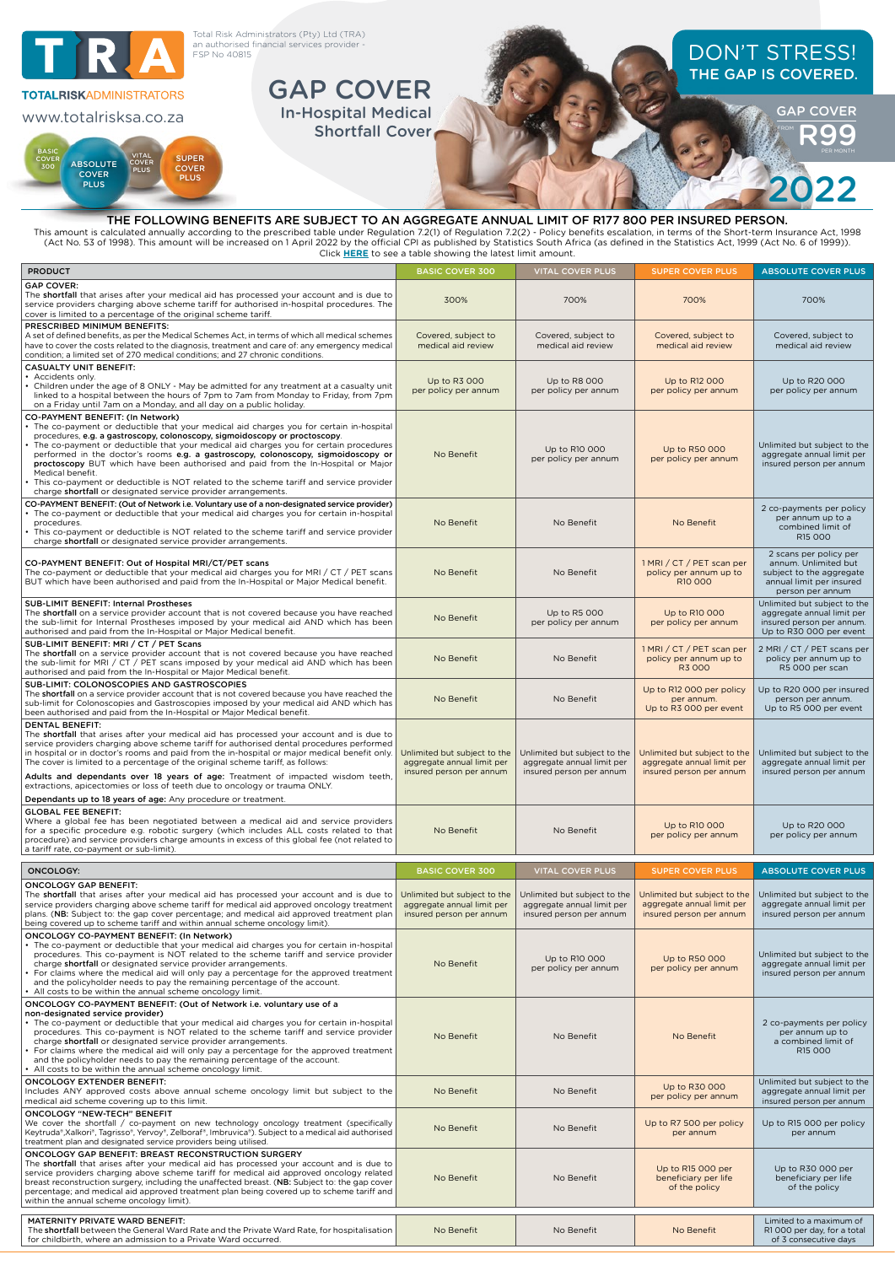

| Click <b>HERE</b> to see a table showing the latest limit amount.                                                                                                                                                                                                                                                                                                                                                                                                                                                                                                                                                                                          |                                                                                        |                                                                                        |                                                                                        |                                                                                                                            |  |  |  |
|------------------------------------------------------------------------------------------------------------------------------------------------------------------------------------------------------------------------------------------------------------------------------------------------------------------------------------------------------------------------------------------------------------------------------------------------------------------------------------------------------------------------------------------------------------------------------------------------------------------------------------------------------------|----------------------------------------------------------------------------------------|----------------------------------------------------------------------------------------|----------------------------------------------------------------------------------------|----------------------------------------------------------------------------------------------------------------------------|--|--|--|
| <b>PRODUCT</b>                                                                                                                                                                                                                                                                                                                                                                                                                                                                                                                                                                                                                                             | <b>BASIC COVER 300</b>                                                                 | <b>VITAL COVER PLUS</b>                                                                | <b>SUPER COVER PLUS</b>                                                                | <b>ABSOLUTE COVER PLUS</b>                                                                                                 |  |  |  |
| <b>GAP COVER:</b><br>The shortfall that arises after your medical aid has processed your account and is due to<br>service providers charging above scheme tariff for authorised in-hospital procedures. The<br>cover is limited to a percentage of the original scheme tariff.                                                                                                                                                                                                                                                                                                                                                                             | 300%                                                                                   | 700%                                                                                   | 700%                                                                                   | 700%                                                                                                                       |  |  |  |
| PRESCRIBED MINIMUM BENEFITS:<br>A set of defined benefits, as per the Medical Schemes Act, in terms of which all medical schemes<br>have to cover the costs related to the diagnosis, treatment and care of: any emergency medical<br>condition; a limited set of 270 medical conditions; and 27 chronic conditions.                                                                                                                                                                                                                                                                                                                                       | Covered, subject to<br>medical aid review                                              | Covered, subject to<br>medical aid review                                              | Covered, subject to<br>medical aid review                                              | Covered, subject to<br>medical aid review                                                                                  |  |  |  |
| <b>CASUALTY UNIT BENEFIT:</b><br>Accidents only.<br>Children under the age of 8 ONLY - May be admitted for any treatment at a casualty unit<br>linked to a hospital between the hours of 7pm to 7am from Monday to Friday, from 7pm<br>on a Friday until 7am on a Monday, and all day on a public holiday.                                                                                                                                                                                                                                                                                                                                                 | Up to R3 000<br>per policy per annum                                                   | Up to R8 000<br>per policy per annum                                                   | Up to R12 000<br>per policy per annum                                                  | Up to R20 000<br>per policy per annum                                                                                      |  |  |  |
| CO-PAYMENT BENEFIT: (In Network)<br>The co-payment or deductible that your medical aid charges you for certain in-hospital<br>procedures, e.g. a gastroscopy, colonoscopy, sigmoidoscopy or proctoscopy.<br>The co-payment or deductible that your medical aid charges you for certain procedures<br>performed in the doctor's rooms e.g. a gastroscopy, colonoscopy, sigmoidoscopy or<br>proctoscopy BUT which have been authorised and paid from the In-Hospital or Major<br>Medical benefit.<br>This co-payment or deductible is NOT related to the scheme tariff and service provider<br>charge shortfall or designated service provider arrangements. | No Benefit                                                                             | Up to R10 000<br>per policy per annum                                                  | Up to R50 000<br>per policy per annum                                                  | Unlimited but subject to the<br>aggregate annual limit per<br>insured person per annum                                     |  |  |  |
| CO-PAYMENT BENEFIT: (Out of Network i.e. Voluntary use of a non-designated service provider)<br>• The co-payment or deductible that your medical aid charges you for certain in-hospital<br>procedures.<br>This co-payment or deductible is NOT related to the scheme tariff and service provider<br>charge shortfall or designated service provider arrangements.                                                                                                                                                                                                                                                                                         | No Benefit                                                                             | No Benefit                                                                             | No Benefit                                                                             | 2 co-payments per policy<br>per annum up to a<br>combined limit of<br>R15 000                                              |  |  |  |
| CO-PAYMENT BENEFIT: Out of Hospital MRI/CT/PET scans<br>The co-payment or deductible that your medical aid charges you for MRI / CT / PET scans<br>BUT which have been authorised and paid from the In-Hospital or Major Medical benefit.                                                                                                                                                                                                                                                                                                                                                                                                                  | No Benefit                                                                             | No Benefit                                                                             | 1 MRI / CT / PET scan per<br>policy per annum up to<br>R10 000                         | 2 scans per policy per<br>annum. Unlimited but<br>subject to the aggregate<br>annual limit per insured<br>person per annum |  |  |  |
| <b>SUB-LIMIT BENEFIT: Internal Prostheses</b><br>The shortfall on a service provider account that is not covered because you have reached<br>the sub-limit for Internal Prostheses imposed by your medical aid AND which has been<br>authorised and paid from the In-Hospital or Major Medical benefit.                                                                                                                                                                                                                                                                                                                                                    | No Benefit                                                                             | Up to R5 000<br>per policy per annum                                                   | Up to R10 000<br>per policy per annum                                                  | Unlimited but subject to the<br>aggregate annual limit per<br>insured person per annum.<br>Up to R30 000 per event         |  |  |  |
| SUB-LIMIT BENEFIT: MRI / CT / PET Scans<br>The shortfall on a service provider account that is not covered because you have reached<br>the sub-limit for MRI / CT / PET scans imposed by your medical aid AND which has been<br>authorised and paid from the In-Hospital or Major Medical benefit.                                                                                                                                                                                                                                                                                                                                                         | No Benefit                                                                             | No Benefit                                                                             | 1 MRI / CT / PET scan per<br>policy per annum up to<br>R3 000                          | 2 MRI / CT / PET scans per<br>policy per annum up to<br>R5 000 per scan                                                    |  |  |  |
| SUB-LIMIT: COLONOSCOPIES AND GASTROSCOPIES<br>The shortfall on a service provider account that is not covered because you have reached the<br>sub-limit for Colonoscopies and Gastroscopies imposed by your medical aid AND which has<br>been authorised and paid from the In-Hospital or Major Medical benefit.                                                                                                                                                                                                                                                                                                                                           | No Benefit                                                                             | No Benefit                                                                             | Up to R12 000 per policy<br>per annum.<br>Up to R3 000 per event                       | Up to R20 000 per insured<br>person per annum.<br>Up to R5 000 per event                                                   |  |  |  |
| <b>DENTAL BENEFIT:</b><br>The shortfall that arises after your medical aid has processed your account and is due to<br>service providers charging above scheme tariff for authorised dental procedures performed<br>in hospital or in doctor's rooms and paid from the in-hospital or major medical benefit only.<br>The cover is limited to a percentage of the original scheme tariff, as follows:<br>Adults and dependants over 18 years of age: Treatment of impacted wisdom teeth,<br>extractions, apicectomies or loss of teeth due to oncology or trauma ONLY.                                                                                      | Unlimited but subject to the<br>aggregate annual limit per<br>insured person per annum | Unlimited but subject to the<br>aggregate annual limit per<br>insured person per annum | Unlimited but subject to the<br>aggregate annual limit per<br>insured person per annum | Unlimited but subject to the<br>aggregate annual limit per<br>insured person per annum                                     |  |  |  |
| Dependants up to 18 years of age: Any procedure or treatment.<br><b>GLOBAL FEE BENEFIT:</b><br>Where a global fee has been negotiated between a medical aid and service providers<br>for a specific procedure e.g. robotic surgery (which includes ALL costs related to that<br>procedure) and service providers charge amounts in excess of this global fee (not related to<br>a tariff rate, co-payment or sub-limit).                                                                                                                                                                                                                                   | No Benefit                                                                             | No Benefit                                                                             | Up to R10 000<br>per policy per annum                                                  | Up to R20 000<br>per policy per annum                                                                                      |  |  |  |
| <b>ONCOLOGY:</b>                                                                                                                                                                                                                                                                                                                                                                                                                                                                                                                                                                                                                                           | <b>BASIC COVER 300</b>                                                                 | <b>VITAL COVER PLUS</b>                                                                | <b>SUPER COVER PLUS</b>                                                                | <b>ABSOLUTE COVER PLUS</b>                                                                                                 |  |  |  |
| <b>ONCOLOGY GAP BENEFIT:</b>                                                                                                                                                                                                                                                                                                                                                                                                                                                                                                                                                                                                                               |                                                                                        |                                                                                        |                                                                                        |                                                                                                                            |  |  |  |
| The shortfall that arises after your medical aid has processed your account and is due to<br>service providers charging above scheme tariff for medical aid approved oncology treatment<br>plans. (NB: Subject to: the gap cover percentage; and medical aid approved treatment plan<br>being covered up to scheme tariff and within annual scheme oncology limit).                                                                                                                                                                                                                                                                                        | Unlimited but subject to the<br>aggregate annual limit per<br>insured person per annum | Unlimited but subject to the<br>aggregate annual limit per<br>insured person per annum | Unlimited but subject to the<br>aggregate annual limit per<br>insured person per annum | Unlimited but subject to the<br>aggregate annual limit per<br>insured person per annum                                     |  |  |  |
| ONCOLOGY CO-PAYMENT BENEFIT: (In Network)<br>· The co-payment or deductible that your medical aid charges you for certain in-hospital<br>procedures. This co-payment is NOT related to the scheme tariff and service provider<br>charge shortfall or designated service provider arrangements.<br>For claims where the medical aid will only pay a percentage for the approved treatment<br>and the policyholder needs to pay the remaining percentage of the account.<br>• All costs to be within the annual scheme oncology limit.                                                                                                                       | No Benefit                                                                             | Up to R10 000<br>per policy per annum                                                  | Up to R50 000<br>per policy per annum                                                  | Unlimited but subject to the<br>aggregate annual limit per<br>insured person per annum                                     |  |  |  |
| ONCOLOGY CO-PAYMENT BENEFIT: (Out of Network i.e. voluntary use of a<br>non-designated service provider)<br>• The co-payment or deductible that your medical aid charges you for certain in-hospital<br>procedures. This co-payment is NOT related to the scheme tariff and service provider<br>charge shortfall or designated service provider arrangements.<br>For claims where the medical aid will only pay a percentage for the approved treatment<br>and the policyholder needs to pay the remaining percentage of the account.<br>• All costs to be within the annual scheme oncology limit.                                                        | No Benefit                                                                             | No Benefit                                                                             | No Benefit                                                                             | 2 co-payments per policy<br>per annum up to<br>a combined limit of<br>R15 000                                              |  |  |  |
| <b>ONCOLOGY EXTENDER BENEFIT:</b><br>Includes ANY approved costs above annual scheme oncology limit but subject to the<br>medical aid scheme covering up to this limit.                                                                                                                                                                                                                                                                                                                                                                                                                                                                                    | No Benefit                                                                             | No Benefit                                                                             | Up to R30 000<br>per policy per annum                                                  | Unlimited but subject to the<br>aggregate annual limit per<br>insured person per annum                                     |  |  |  |
| <b>ONCOLOGY "NEW-TECH" BENEFIT</b><br>We cover the shortfall / co-payment on new technology oncology treatment (specifically<br>Keytruda®,Xalkori®, Tagrisso®, Yervoy®, Zelboraf®, Imbruvica®). Subject to a medical aid authorised<br>treatment plan and designated service providers being utilised.                                                                                                                                                                                                                                                                                                                                                     | No Benefit                                                                             | No Benefit                                                                             | Up to R7 500 per policy<br>per annum                                                   | Up to R15 000 per policy<br>per annum                                                                                      |  |  |  |
| ONCOLOGY GAP BENEFIT: BREAST RECONSTRUCTION SURGERY<br>The shortfall that arises after your medical aid has processed your account and is due to<br>service providers charging above scheme tariff for medical aid approved oncology related<br>breast reconstruction surgery, including the unaffected breast. (NB: Subject to: the gap cover<br>percentage; and medical aid approved treatment plan being covered up to scheme tariff and<br>within the annual scheme oncology limit).                                                                                                                                                                   | No Benefit                                                                             | No Benefit                                                                             | Up to R15 000 per<br>beneficiary per life<br>of the policy                             | Up to R30 000 per<br>beneficiary per life<br>of the policy                                                                 |  |  |  |
| MATERNITY PRIVATE WARD BENEFIT:<br>The shortfall between the General Ward Rate and the Private Ward Rate, for hospitalisation<br>for childbirth, where an admission to a Private Ward occurred.                                                                                                                                                                                                                                                                                                                                                                                                                                                            | No Benefit                                                                             | No Benefit                                                                             | No Benefit                                                                             | Limited to a maximum of<br>R1000 per day, for a total<br>of 3 consecutive days                                             |  |  |  |